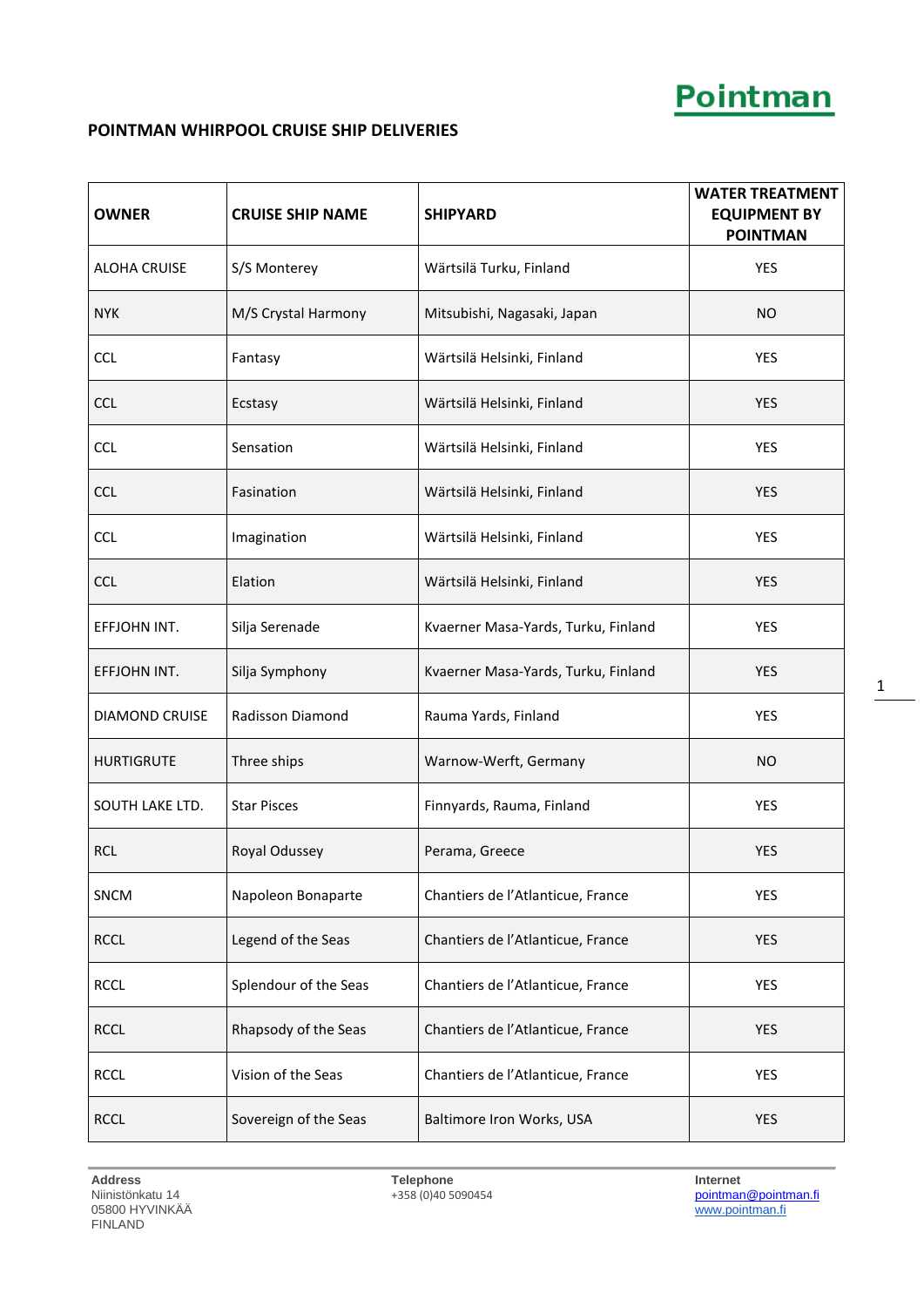### **POINTMAN WHIRPOOL CRUISE SHIP DELIVERIES**

| <b>OWNER</b>          | <b>CRUISE SHIP NAME</b> | <b>SHIPYARD</b>                     | <b>WATER TREATMENT</b><br><b>EQUIPMENT BY</b><br><b>POINTMAN</b> |
|-----------------------|-------------------------|-------------------------------------|------------------------------------------------------------------|
| <b>ALOHA CRUISE</b>   | S/S Monterey            | Wärtsilä Turku, Finland             | <b>YES</b>                                                       |
| <b>NYK</b>            | M/S Crystal Harmony     | Mitsubishi, Nagasaki, Japan         | <b>NO</b>                                                        |
| <b>CCL</b>            | Fantasy                 | Wärtsilä Helsinki, Finland          | <b>YES</b>                                                       |
| <b>CCL</b>            | Ecstasy                 | Wärtsilä Helsinki, Finland          | <b>YES</b>                                                       |
| <b>CCL</b>            | Sensation               | Wärtsilä Helsinki, Finland          | <b>YES</b>                                                       |
| <b>CCL</b>            | Fasination              | Wärtsilä Helsinki, Finland          | <b>YES</b>                                                       |
| <b>CCL</b>            | Imagination             | Wärtsilä Helsinki, Finland          | <b>YES</b>                                                       |
| <b>CCL</b>            | Elation                 | Wärtsilä Helsinki, Finland          | <b>YES</b>                                                       |
| EFFJOHN INT.          | Silja Serenade          | Kvaerner Masa-Yards, Turku, Finland | <b>YES</b>                                                       |
| EFFJOHN INT.          | Silja Symphony          | Kvaerner Masa-Yards, Turku, Finland | <b>YES</b>                                                       |
| <b>DIAMOND CRUISE</b> | Radisson Diamond        | Rauma Yards, Finland                | <b>YES</b>                                                       |
| <b>HURTIGRUTE</b>     | Three ships             | Warnow-Werft, Germany               | <b>NO</b>                                                        |
| SOUTH LAKE LTD.       | <b>Star Pisces</b>      | Finnyards, Rauma, Finland           | <b>YES</b>                                                       |
| <b>RCL</b>            | Royal Odussey           | Perama, Greece                      | <b>YES</b>                                                       |
| SNCM                  | Napoleon Bonaparte      | Chantiers de l'Atlanticue, France   | <b>YES</b>                                                       |
| <b>RCCL</b>           | Legend of the Seas      | Chantiers de l'Atlanticue, France   | <b>YES</b>                                                       |
| <b>RCCL</b>           | Splendour of the Seas   | Chantiers de l'Atlanticue, France   | YES                                                              |
| <b>RCCL</b>           | Rhapsody of the Seas    | Chantiers de l'Atlanticue, France   | <b>YES</b>                                                       |
| <b>RCCL</b>           | Vision of the Seas      | Chantiers de l'Atlanticue, France   | YES                                                              |
| <b>RCCL</b>           | Sovereign of the Seas   | Baltimore Iron Works, USA           | <b>YES</b>                                                       |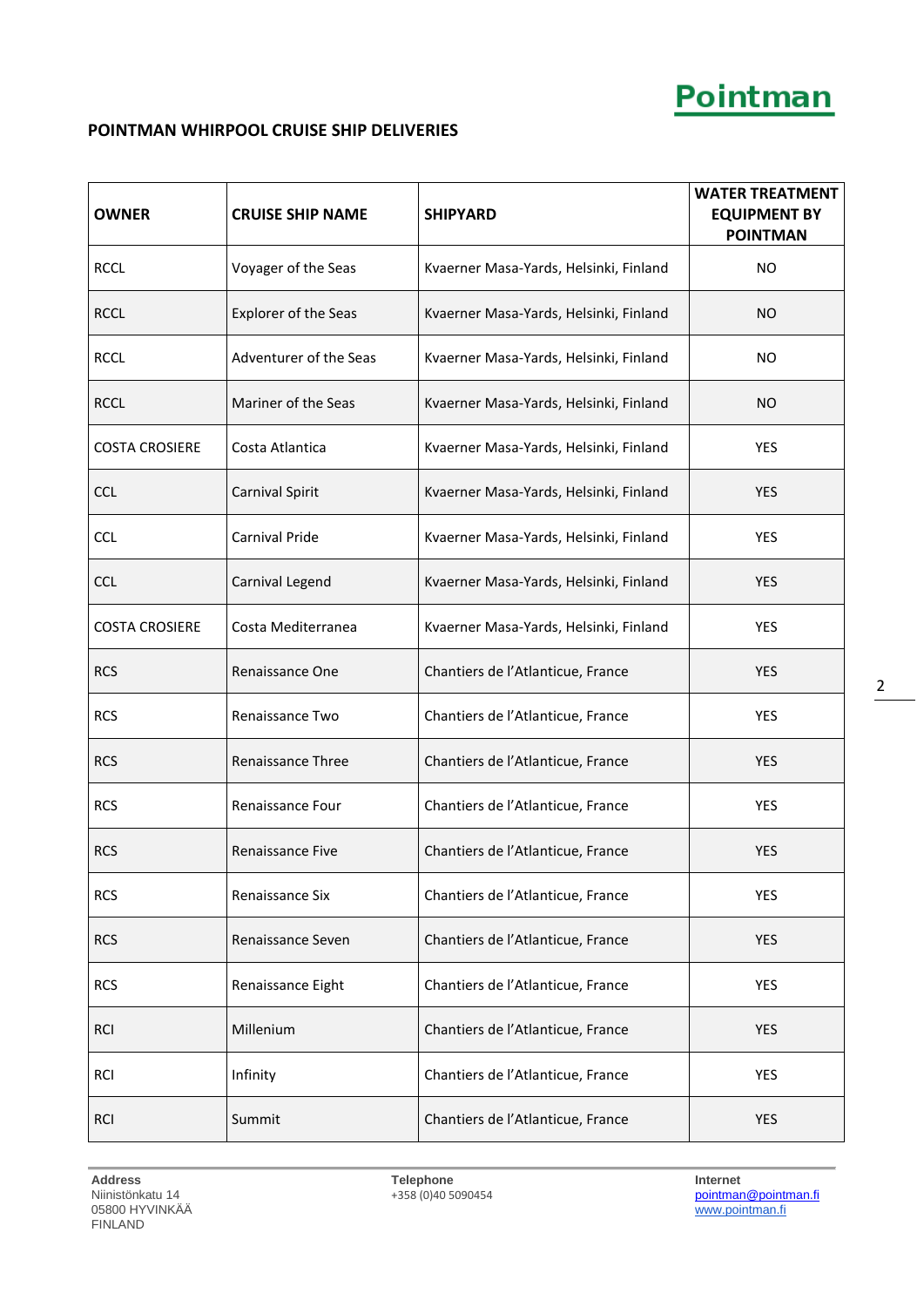### **POINTMAN WHIRPOOL CRUISE SHIP DELIVERIES**

| <b>OWNER</b>          | <b>CRUISE SHIP NAME</b>  | <b>SHIPYARD</b>                        | <b>WATER TREATMENT</b><br><b>EQUIPMENT BY</b><br><b>POINTMAN</b> |
|-----------------------|--------------------------|----------------------------------------|------------------------------------------------------------------|
| <b>RCCL</b>           | Voyager of the Seas      | Kvaerner Masa-Yards, Helsinki, Finland | NO                                                               |
| <b>RCCL</b>           | Explorer of the Seas     | Kvaerner Masa-Yards, Helsinki, Finland | <b>NO</b>                                                        |
| <b>RCCL</b>           | Adventurer of the Seas   | Kvaerner Masa-Yards, Helsinki, Finland | <b>NO</b>                                                        |
| <b>RCCL</b>           | Mariner of the Seas      | Kvaerner Masa-Yards, Helsinki, Finland | <b>NO</b>                                                        |
| <b>COSTA CROSIERE</b> | Costa Atlantica          | Kvaerner Masa-Yards, Helsinki, Finland | YES                                                              |
| <b>CCL</b>            | Carnival Spirit          | Kvaerner Masa-Yards, Helsinki, Finland | <b>YES</b>                                                       |
| <b>CCL</b>            | Carnival Pride           | Kvaerner Masa-Yards, Helsinki, Finland | <b>YES</b>                                                       |
| <b>CCL</b>            | Carnival Legend          | Kvaerner Masa-Yards, Helsinki, Finland | <b>YES</b>                                                       |
| <b>COSTA CROSIERE</b> | Costa Mediterranea       | Kvaerner Masa-Yards, Helsinki, Finland | <b>YES</b>                                                       |
| <b>RCS</b>            | Renaissance One          | Chantiers de l'Atlanticue, France      | <b>YES</b>                                                       |
| <b>RCS</b>            | Renaissance Two          | Chantiers de l'Atlanticue, France      | <b>YES</b>                                                       |
| <b>RCS</b>            | <b>Renaissance Three</b> | Chantiers de l'Atlanticue, France      | <b>YES</b>                                                       |
| <b>RCS</b>            | Renaissance Four         | Chantiers de l'Atlanticue, France      | <b>YES</b>                                                       |
| <b>RCS</b>            | <b>Renaissance Five</b>  | Chantiers de l'Atlanticue, France      | <b>YES</b>                                                       |
| <b>RCS</b>            | Renaissance Six          | Chantiers de l'Atlanticue, France      | <b>YES</b>                                                       |
| <b>RCS</b>            | Renaissance Seven        | Chantiers de l'Atlanticue, France      | <b>YES</b>                                                       |
| <b>RCS</b>            | Renaissance Eight        | Chantiers de l'Atlanticue, France      | YES                                                              |
| <b>RCI</b>            | Millenium                | Chantiers de l'Atlanticue, France      | <b>YES</b>                                                       |
| <b>RCI</b>            | Infinity                 | Chantiers de l'Atlanticue, France      | <b>YES</b>                                                       |
| <b>RCI</b>            | Summit                   | Chantiers de l'Atlanticue, France      | <b>YES</b>                                                       |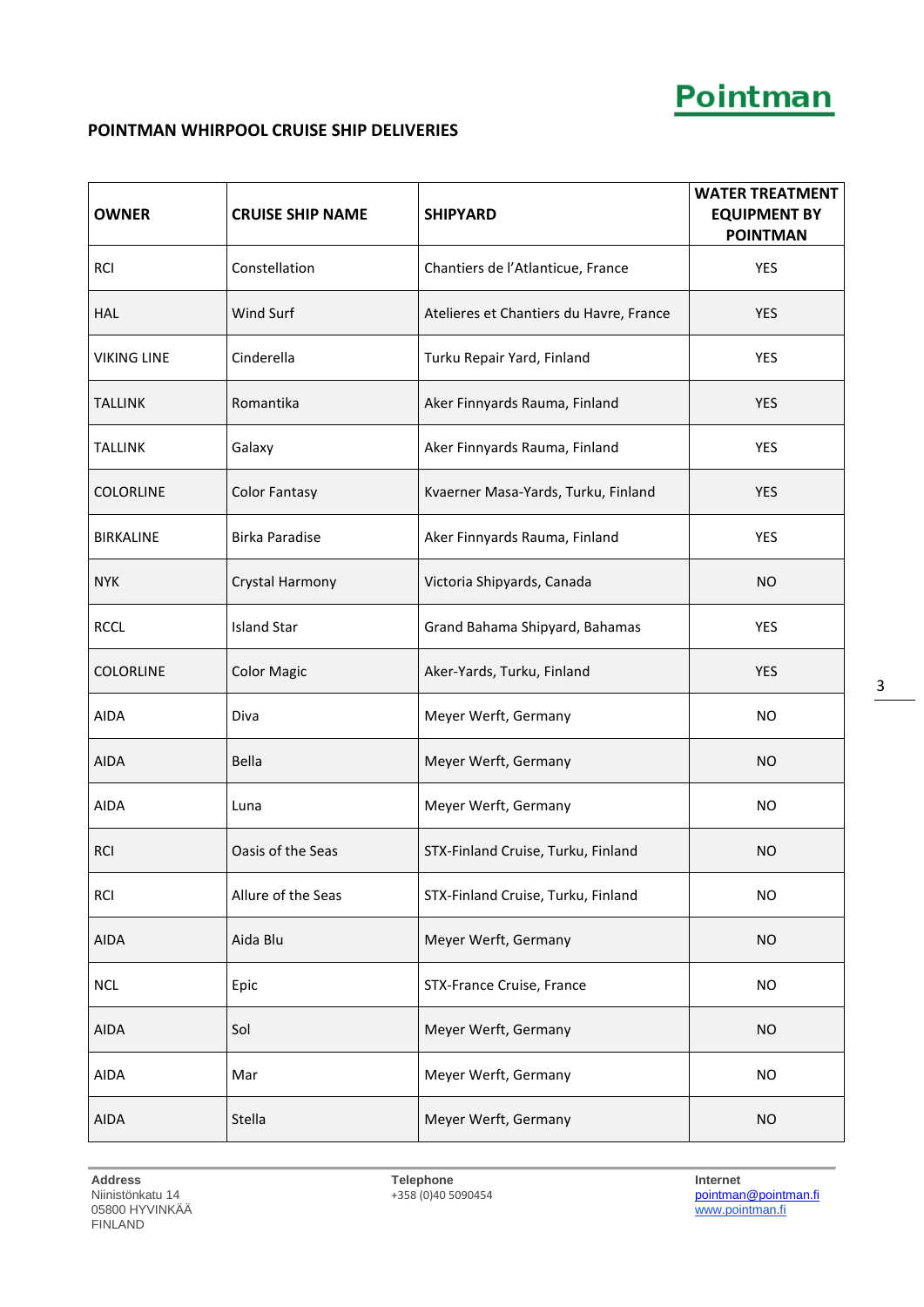### **POINTMAN WHIRPOOL CRUISE SHIP DELIVERIES**

| <b>OWNER</b>       | <b>CRUISE SHIP NAME</b> | <b>SHIPYARD</b>                         | <b>WATER TREATMENT</b><br><b>EQUIPMENT BY</b><br><b>POINTMAN</b> |
|--------------------|-------------------------|-----------------------------------------|------------------------------------------------------------------|
| <b>RCI</b>         | Constellation           | Chantiers de l'Atlanticue, France       | YES                                                              |
| <b>HAL</b>         | Wind Surf               | Atelieres et Chantiers du Havre, France | <b>YES</b>                                                       |
| <b>VIKING LINE</b> | Cinderella              | Turku Repair Yard, Finland              | YES                                                              |
| TALLINK            | Romantika               | Aker Finnyards Rauma, Finland           | <b>YES</b>                                                       |
| TALLINK            | Galaxy                  | Aker Finnyards Rauma, Finland           | <b>YES</b>                                                       |
| <b>COLORLINE</b>   | <b>Color Fantasy</b>    | Kvaerner Masa-Yards, Turku, Finland     | <b>YES</b>                                                       |
| <b>BIRKALINE</b>   | <b>Birka Paradise</b>   | Aker Finnyards Rauma, Finland           | <b>YES</b>                                                       |
| <b>NYK</b>         | Crystal Harmony         | Victoria Shipyards, Canada              | <b>NO</b>                                                        |
| <b>RCCL</b>        | <b>Island Star</b>      | Grand Bahama Shipyard, Bahamas          | <b>YES</b>                                                       |
| <b>COLORLINE</b>   | <b>Color Magic</b>      | Aker-Yards, Turku, Finland              | <b>YES</b>                                                       |
| <b>AIDA</b>        | Diva                    | Meyer Werft, Germany                    | NO.                                                              |
| <b>AIDA</b>        | <b>Bella</b>            | Meyer Werft, Germany                    | <b>NO</b>                                                        |
| AIDA               | Luna                    | Meyer Werft, Germany                    | NO.                                                              |
| RCI                | Oasis of the Seas       | STX-Finland Cruise, Turku, Finland      | <b>NO</b>                                                        |
| <b>RCI</b>         | Allure of the Seas      | STX-Finland Cruise, Turku, Finland      | <b>NO</b>                                                        |
| <b>AIDA</b>        | Aida Blu                | Meyer Werft, Germany                    | <b>NO</b>                                                        |
| <b>NCL</b>         | Epic                    | STX-France Cruise, France               | <b>NO</b>                                                        |
| AIDA               | Sol                     | Meyer Werft, Germany                    | <b>NO</b>                                                        |
| AIDA               | Mar                     | Meyer Werft, Germany                    | <b>NO</b>                                                        |
| AIDA               | Stella                  | Meyer Werft, Germany                    | <b>NO</b>                                                        |

Internet<br><u>[pointman@pointman.fi](mailto:pointman@pointman.fi)</u><br>www.pointman.fi